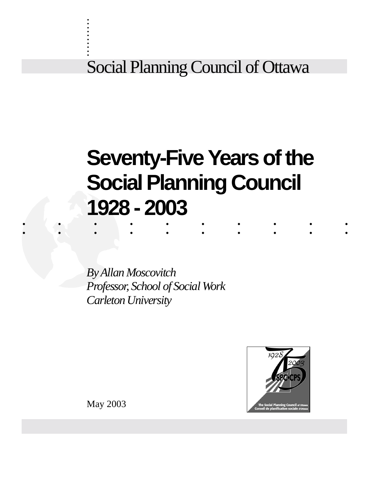Social Planning Council of Ottawa

# .......... .......... **Seventy-Five Years of the Social Planning Council 1928 - 2003**

*By Allan Moscovitch Professor, School of Social Work Carleton University*



May 2003

. . . . . . . . . .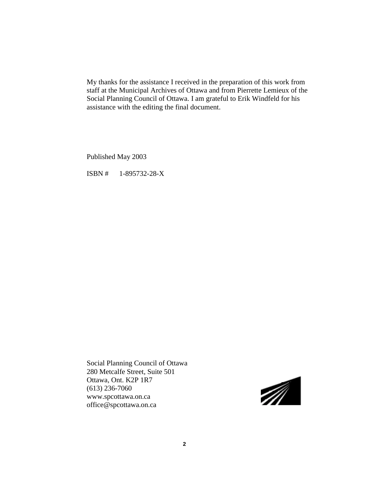My thanks for the assistance I received in the preparation of this work from staff at the Municipal Archives of Ottawa and from Pierrette Lemieux of the Social Planning Council of Ottawa. I am grateful to Erik Windfeld for his assistance with the editing the final document.

Published May 2003

ISBN # 1-895732-28-X

Social Planning Council of Ottawa 280 Metcalfe Street, Suite 501 Ottawa, Ont. K2P 1R7 (613) 236-7060 www.spcottawa.on.ca office@spcottawa.on.ca

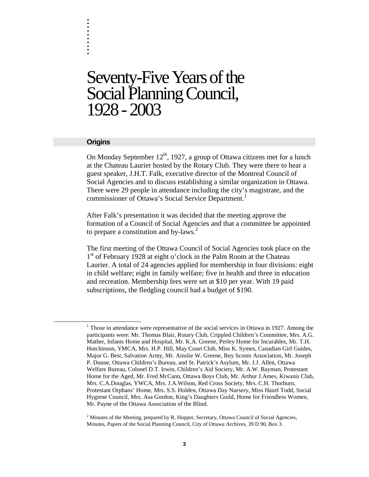# Seventy-Five Years of the Social Planning Council, 1928 - 2003

#### **Origins**

. . . . . . . . . .

On Monday September  $12<sup>th</sup>$ , 1927, a group of Ottawa citizens met for a lunch at the Chateau Laurier hosted by the Rotary Club. They were there to hear a guest speaker, J.H.T. Falk, executive director of the Montreal Council of Social Agencies and to discuss establishing a similar organization in Ottawa. There were 29 people in attendance including the city's magistrate, and the commissioner of Ottawa's Social Service Department.<sup>1</sup>

After Falk's presentation it was decided that the meeting approve the formation of a Council of Social Agencies and that a committee be appointed to prepare a constitution and by-laws.<sup>2</sup>

The first meeting of the Ottawa Council of Social Agencies took place on the  $1<sup>st</sup>$  of February 1928 at eight o'clock in the Palm Room at the Chateau Laurier. A total of 24 agencies applied for membership in four divisions: eight in child welfare; eight in family welfare; five in health and three in education and recreation. Membership fees were set at \$10 per year. With 19 paid subscriptions, the fledgling council had a budget of \$190.

 $2$  Minutes of the Meeting, prepared by R. Hopper, Secretary, Ottawa Council of Social Agencies, Minutes, Papers of the Social Planning Council, City of Ottawa Archives, 39 D 90, Box 3.

 <sup>1</sup>  $<sup>1</sup>$  Those in attendance were representative of the social services in Ottawa in 1927. Among the</sup> participants were: Mr. Thomas Blair, Rotary Club, Crippled Children's Committee, Mrs. A.G. Mather, Infants Home and Hospital, Mr. K.A. Greene, Perley Home for Incurables, Mr. T.H. Hutchinson, YMCA, Mrs. H.P. Hill, May Court Club, Miss K. Symes, Canadian Girl Guides, Major G. Best, Salvation Army, Mr. Ainslie W. Greene, Boy Scouts Association, Mr. Joseph P. Dunne, Ottawa Children's Bureau, and St. Patrick's Asylum, Mr. J.J. Allen, Ottawa Welfare Bureau, Colonel D.T. Irwin, Children's Aid Society, Mr. A.W. Bayman, Protestant Home for the Aged, Mr. Fred McCann, Ottawa Boys Club, Mr. Arthur J.Ames, Kiwanis Club, Mrs. C.A.Douglas, YWCA, Mrs. J.A.Wilson, Red Cross Society, Mrs. C.H. Thorburn, Protestant Orphans' Home, Mrs. S.S. Holden, Ottawa Day Nursery, Miss Hazel Todd, Social Hygiene Council, Mrs. Asa Gordon, King's Daughters Guild, Home for Friendless Women, Mr. Payne of the Ottawa Association of the Blind.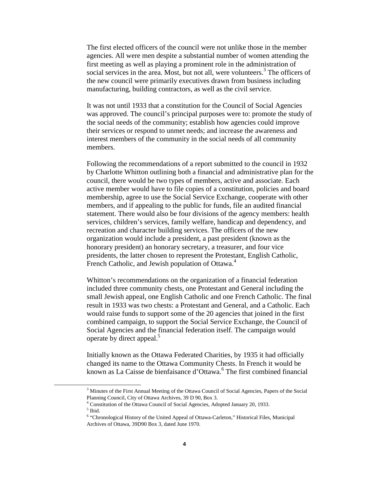The first elected officers of the council were not unlike those in the member agencies. All were men despite a substantial number of women attending the first meeting as well as playing a prominent role in the administration of social services in the area. Most, but not all, were volunteers.<sup>3</sup> The officers of the new council were primarily executives drawn from business including manufacturing, building contractors, as well as the civil service.

It was not until 1933 that a constitution for the Council of Social Agencies was approved. The council's principal purposes were to: promote the study of the social needs of the community; establish how agencies could improve their services or respond to unmet needs; and increase the awareness and interest members of the community in the social needs of all community members.

Following the recommendations of a report submitted to the council in 1932 by Charlotte Whitton outlining both a financial and administrative plan for the council, there would be two types of members, active and associate. Each active member would have to file copies of a constitution, policies and board membership, agree to use the Social Service Exchange, cooperate with other members, and if appealing to the public for funds, file an audited financial statement. There would also be four divisions of the agency members: health services, children's services, family welfare, handicap and dependency, and recreation and character building services. The officers of the new organization would include a president, a past president (known as the honorary president) an honorary secretary, a treasurer, and four vice presidents, the latter chosen to represent the Protestant, English Catholic, French Catholic, and Jewish population of Ottawa.<sup>4</sup>

Whitton's recommendations on the organization of a financial federation included three community chests, one Protestant and General including the small Jewish appeal, one English Catholic and one French Catholic. The final result in 1933 was two chests: a Protestant and General, and a Catholic. Each would raise funds to support some of the 20 agencies that joined in the first combined campaign, to support the Social Service Exchange, the Council of Social Agencies and the financial federation itself. The campaign would operate by direct appeal.<sup>5</sup>

Initially known as the Ottawa Federated Charities, by 1935 it had officially changed its name to the Ottawa Community Chests. In French it would be known as La Caisse de bienfaisance d'Ottawa.<sup>6</sup> The first combined financial

 <sup>3</sup> <sup>3</sup> Minutes of the First Annual Meeting of the Ottawa Council of Social Agencies, Papers of the Social Planning Council, City of Ottawa Archives, 39 D 90, Box 3.

<sup>&</sup>lt;sup>4</sup> Constitution of the Ottawa Council of Social Agencies, Adopted January 20, 1933.

<sup>5</sup> Ibid.

<sup>&</sup>lt;sup>6</sup> "Chronological History of the United Appeal of Ottawa-Carleton," Historical Files, Municipal Archives of Ottawa, 39D90 Box 3, dated June 1970.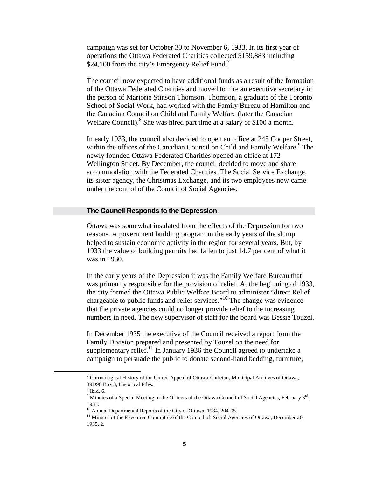campaign was set for October 30 to November 6, 1933. In its first year of operations the Ottawa Federated Charities collected \$159,883 including \$24,100 from the city's Emergency Relief Fund. $\frac{7}{2}$ 

The council now expected to have additional funds as a result of the formation of the Ottawa Federated Charities and moved to hire an executive secretary in the person of Marjorie Stinson Thomson. Thomson, a graduate of the Toronto School of Social Work, had worked with the Family Bureau of Hamilton and the Canadian Council on Child and Family Welfare (later the Canadian Welfare Council).<sup>8</sup> She was hired part time at a salary of \$100 a month.

In early 1933, the council also decided to open an office at 245 Cooper Street, within the offices of the Canadian Council on Child and Family Welfare.<sup>9</sup> The newly founded Ottawa Federated Charities opened an office at 172 Wellington Street. By December, the council decided to move and share accommodation with the Federated Charities. The Social Service Exchange, its sister agency, the Christmas Exchange, and its two employees now came under the control of the Council of Social Agencies.

#### **The Council Responds to the Depression**

Ottawa was somewhat insulated from the effects of the Depression for two reasons. A government building program in the early years of the slump helped to sustain economic activity in the region for several years. But, by 1933 the value of building permits had fallen to just 14.7 per cent of what it was in 1930.

In the early years of the Depression it was the Family Welfare Bureau that was primarily responsible for the provision of relief. At the beginning of 1933, the city formed the Ottawa Public Welfare Board to administer "direct Relief chargeable to public funds and relief services."10 The change was evidence that the private agencies could no longer provide relief to the increasing numbers in need. The new supervisor of staff for the board was Bessie Touzel.

In December 1935 the executive of the Council received a report from the Family Division prepared and presented by Touzel on the need for supplementary relief.<sup>11</sup> In January 1936 the Council agreed to undertake a campaign to persuade the public to donate second-hand bedding, furniture,

 <sup>7</sup>  $\alpha$ <sup>7</sup> Chronological History of the United Appeal of Ottawa-Carleton, Municipal Archives of Ottawa, 39D90 Box 3, Historical Files.

 $8$  Ibid, 6.

<sup>&</sup>lt;sup>9</sup> Minutes of a Special Meeting of the Officers of the Ottawa Council of Social Agencies, February 3<sup>rd</sup>, 1933.

<sup>&</sup>lt;sup>10</sup> Annual Departmental Reports of the City of Ottawa, 1934, 204-05.

<sup>&</sup>lt;sup>11</sup> Minutes of the Executive Committee of the Council of Social Agencies of Ottawa, December 20, 1935, 2.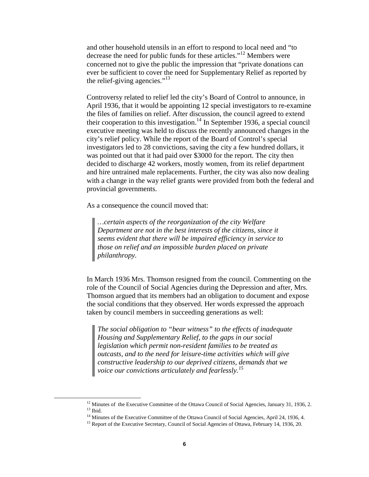and other household utensils in an effort to respond to local need and "to decrease the need for public funds for these articles."12 Members were concerned not to give the public the impression that "private donations can ever be sufficient to cover the need for Supplementary Relief as reported by the relief-giving agencies." $^{13}$ 

Controversy related to relief led the city's Board of Control to announce, in April 1936, that it would be appointing 12 special investigators to re-examine the files of families on relief. After discussion, the council agreed to extend their cooperation to this investigation.<sup>14</sup> In September 1936, a special council executive meeting was held to discuss the recently announced changes in the city's relief policy. While the report of the Board of Control's special investigators led to 28 convictions, saving the city a few hundred dollars, it was pointed out that it had paid over \$3000 for the report. The city then decided to discharge 42 workers, mostly women, from its relief department and hire untrained male replacements. Further, the city was also now dealing with a change in the way relief grants were provided from both the federal and provincial governments.

As a consequence the council moved that:

*…certain aspects of the reorganization of the city Welfare Department are not in the best interests of the citizens, since it seems evident that there will be impaired efficiency in service to those on relief and an impossible burden placed on private philanthropy.*

In March 1936 Mrs. Thomson resigned from the council. Commenting on the role of the Council of Social Agencies during the Depression and after, Mrs. Thomson argued that its members had an obligation to document and expose the social conditions that they observed. Her words expressed the approach taken by council members in succeeding generations as well:

*The social obligation to "bear witness" to the effects of inadequate Housing and Supplementary Relief, to the gaps in our social legislation which permit non-resident families to be treated as outcasts, and to the need for leisure-time activities which will give constructive leadership to our deprived citizens, demands that we voice our convictions articulately and fearlessly.<sup>15</sup>*

<sup>&</sup>lt;sup>12</sup> Minutes of the Executive Committee of the Ottawa Council of Social Agencies, January 31, 1936, 2.  $13$  Ibid.

<sup>&</sup>lt;sup>14</sup> Minutes of the Executive Committee of the Ottawa Council of Social Agencies, April 24, 1936, 4.

<sup>&</sup>lt;sup>15</sup> Report of the Executive Secretary, Council of Social Agencies of Ottawa, February 14, 1936, 20.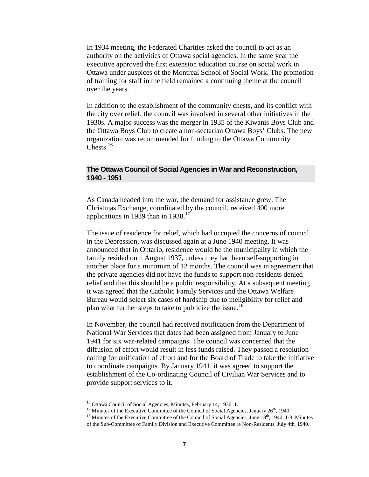In 1934 meeting, the Federated Charities asked the council to act as an authority on the activities of Ottawa social agencies. In the same year the executive approved the first extension education course on social work in Ottawa under auspices of the Montreal School of Social Work. The promotion of training for staff in the field remained a continuing theme at the council over the years.

In addition to the establishment of the community chests, and its conflict with the city over relief, the council was involved in several other initiatives in the 1930s. A major success was the merger in 1935 of the Kiwanis Boys Club and the Ottawa Boys Club to create a non-sectarian Ottawa Boys' Clubs. The new organization was recommended for funding to the Ottawa Community Chests.<sup>16</sup>

# **The Ottawa Council of Social Agencies in War and Reconstruction, 1940 - 1951**

As Canada headed into the war, the demand for assistance grew. The Christmas Exchange, coordinated by the council, received 400 more applications in 1939 than in  $1938$ <sup>17</sup>

The issue of residence for relief, which had occupied the concerns of council in the Depression, was discussed again at a June 1940 meeting. It was announced that in Ontario, residence would be the municipality in which the family resided on 1 August 1937, unless they had been self-supporting in another place for a minimum of 12 months. The council was in agreement that the private agencies did not have the funds to support non-residents denied relief and that this should be a public responsibility. At a subsequent meeting it was agreed that the Catholic Family Services and the Ottawa Welfare Bureau would select six cases of hardship due to ineligibility for relief and plan what further steps to take to publicize the issue.<sup>18</sup>

In November, the council had received notification from the Department of National War Services that dates had been assigned from January to June 1941 for six war-related campaigns. The council was concerned that the diffusion of effort would result in less funds raised. They passed a resolution calling for unification of effort and for the Board of Trade to take the initiative to coordinate campaigns. By January 1941, it was agreed to support the establishment of the Co-ordinating Council of Civilian War Services and to provide support services to it.

<sup>&</sup>lt;sup>16</sup> Ottawa Council of Social Agencies, Minutes, February 14, 1936, 1.

<sup>&</sup>lt;sup>17</sup> Minutes of the Executive Committee of the Council of Social Agencies, January  $26<sup>th</sup>$ , 1940

 $18$  Minutes of the Executive Committee of the Council of Social Agencies, June  $18<sup>th</sup>$ , 1940, 1-3. Minutes of the Sub-Committee of Family Division and Executive Committee re Non-Residents, July 4th, 1940.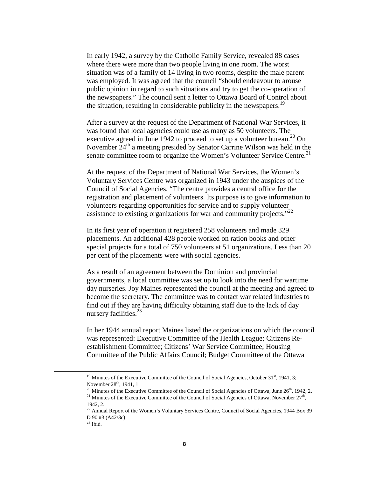In early 1942, a survey by the Catholic Family Service, revealed 88 cases where there were more than two people living in one room. The worst situation was of a family of 14 living in two rooms, despite the male parent was employed. It was agreed that the council "should endeavour to arouse public opinion in regard to such situations and try to get the co-operation of the newspapers." The council sent a letter to Ottawa Board of Control about the situation, resulting in considerable publicity in the newspapers.<sup>19</sup>

After a survey at the request of the Department of National War Services, it was found that local agencies could use as many as 50 volunteers. The executive agreed in June 1942 to proceed to set up a volunteer bureau.<sup>20</sup> On November  $24<sup>th</sup>$  a meeting presided by Senator Carrine Wilson was held in the senate committee room to organize the Women's Volunteer Service Centre.<sup>21</sup>

At the request of the Department of National War Services, the Women's Voluntary Services Centre was organized in 1943 under the auspices of the Council of Social Agencies. "The centre provides a central office for the registration and placement of volunteers. Its purpose is to give information to volunteers regarding opportunities for service and to supply volunteer assistance to existing organizations for war and community projects."<sup>22</sup>

In its first year of operation it registered 258 volunteers and made 329 placements. An additional 428 people worked on ration books and other special projects for a total of 750 volunteers at 51 organizations. Less than 20 per cent of the placements were with social agencies.

As a result of an agreement between the Dominion and provincial governments, a local committee was set up to look into the need for wartime day nurseries. Joy Maines represented the council at the meeting and agreed to become the secretary. The committee was to contact war related industries to find out if they are having difficulty obtaining staff due to the lack of day nursery facilities.<sup>23</sup>

In her 1944 annual report Maines listed the organizations on which the council was represented: Executive Committee of the Health League; Citizens Reestablishment Committee; Citizens' War Service Committee; Housing Committee of the Public Affairs Council; Budget Committee of the Ottawa

<sup>&</sup>lt;sup>19</sup> Minutes of the Executive Committee of the Council of Social Agencies, October  $31<sup>st</sup>$ , 1941, 3; November 28<sup>th</sup>, 1941, 1.

 $^{20}$  Minutes of the Executive Committee of the Council of Social Agencies of Ottawa, June  $26<sup>th</sup>$ , 1942, 2.

<sup>&</sup>lt;sup>21</sup> Minutes of the Executive Committee of the Council of Social Agencies of Ottawa, November  $27<sup>th</sup>$ , 1942, 2.

<sup>&</sup>lt;sup>22</sup> Annual Report of the Women's Voluntary Services Centre, Council of Social Agencies, 1944 Box 39 D 90 #3 (A42/3c)

 $23$  Ibid.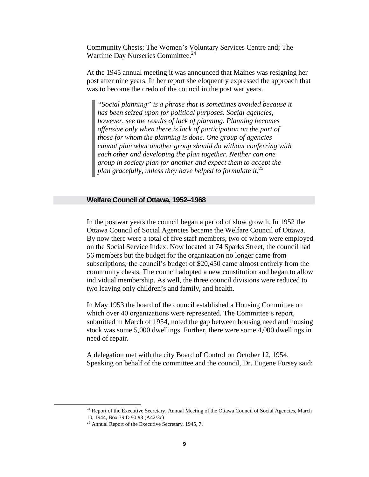Community Chests; The Women's Voluntary Services Centre and; The Wartime Day Nurseries Committee.<sup>24</sup>

At the 1945 annual meeting it was announced that Maines was resigning her post after nine years. In her report she eloquently expressed the approach that was to become the credo of the council in the post war years.

*"Social planning" is a phrase that is sometimes avoided because it has been seized upon for political purposes. Social agencies, however, see the results of lack of planning. Planning becomes offensive only when there is lack of participation on the part of those for whom the planning is done. One group of agencies cannot plan what another group should do without conferring with each other and developing the plan together. Neither can one group in society plan for another and expect them to accept the plan gracefully, unless they have helped to formulate it.<sup>25</sup>*

#### **Welfare Council of Ottawa, 1952–1968**

In the postwar years the council began a period of slow growth. In 1952 the Ottawa Council of Social Agencies became the Welfare Council of Ottawa. By now there were a total of five staff members, two of whom were employed on the Social Service Index. Now located at 74 Sparks Street, the council had 56 members but the budget for the organization no longer came from subscriptions; the council's budget of \$20,450 came almost entirely from the community chests. The council adopted a new constitution and began to allow individual membership. As well, the three council divisions were reduced to two leaving only children's and family, and health.

In May 1953 the board of the council established a Housing Committee on which over 40 organizations were represented. The Committee's report, submitted in March of 1954, noted the gap between housing need and housing stock was some 5,000 dwellings. Further, there were some 4,000 dwellings in need of repair.

A delegation met with the city Board of Control on October 12, 1954. Speaking on behalf of the committee and the council, Dr. Eugene Forsey said:

<sup>&</sup>lt;sup>24</sup> Report of the Executive Secretary, Annual Meeting of the Ottawa Council of Social Agencies, March 10, 1944, Box 39 D 90 #3 (A42/3c)

<sup>25</sup> Annual Report of the Executive Secretary, 1945, 7.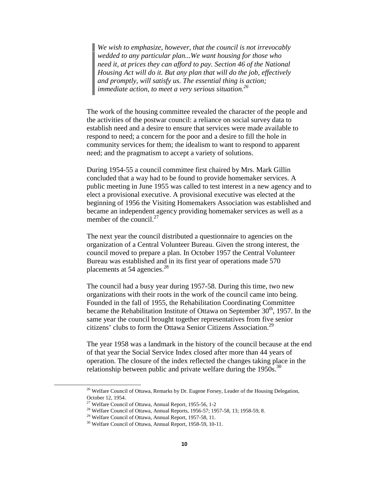*We wish to emphasize, however, that the council is not irrevocably wedded to any particular plan...We want housing for those who need it, at prices they can afford to pay. Section 46 of the National Housing Act will do it. But any plan that will do the job, effectively and promptly, will satisfy us. The essential thing is action; immediate action, to meet a very serious situation.26*

The work of the housing committee revealed the character of the people and the activities of the postwar council: a reliance on social survey data to establish need and a desire to ensure that services were made available to respond to need; a concern for the poor and a desire to fill the hole in community services for them; the idealism to want to respond to apparent need; and the pragmatism to accept a variety of solutions.

During 1954-55 a council committee first chaired by Mrs. Mark Gillin concluded that a way had to be found to provide homemaker services. A public meeting in June 1955 was called to test interest in a new agency and to elect a provisional executive. A provisional executive was elected at the beginning of 1956 the Visiting Homemakers Association was established and became an independent agency providing homemaker services as well as a member of the council. $27$ 

The next year the council distributed a questionnaire to agencies on the organization of a Central Volunteer Bureau. Given the strong interest, the council moved to prepare a plan. In October 1957 the Central Volunteer Bureau was established and in its first year of operations made 570 placements at 54 agencies. $28$ 

The council had a busy year during 1957-58. During this time, two new organizations with their roots in the work of the council came into being. Founded in the fall of 1955, the Rehabilitation Coordinating Committee became the Rehabilitation Institute of Ottawa on September  $30<sup>th</sup>$ , 1957. In the same year the council brought together representatives from five senior citizens' clubs to form the Ottawa Senior Citizens Association.<sup>29</sup>

The year 1958 was a landmark in the history of the council because at the end of that year the Social Service Index closed after more than 44 years of operation. The closure of the index reflected the changes taking place in the relationship between public and private welfare during the  $1950s$ .<sup>30</sup>

<sup>&</sup>lt;sup>26</sup> Welfare Council of Ottawa, Remarks by Dr. Eugene Forsey, Leader of the Housing Delegation, October 12, 1954.

<sup>27</sup> Welfare Council of Ottawa, Annual Report, 1955-56, 1-2

<sup>&</sup>lt;sup>28</sup> Welfare Council of Ottawa, Annual Reports, 1956-57; 1957-58, 13; 1958-59, 8.

<sup>29</sup> Welfare Council of Ottawa, Annual Report, 1957-58, 11.

<sup>30</sup> Welfare Council of Ottawa, Annual Report, 1958-59, 10-11.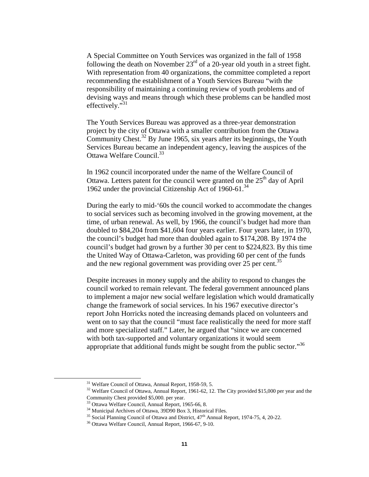A Special Committee on Youth Services was organized in the fall of 1958 following the death on November  $23<sup>rd</sup>$  of a 20-year old youth in a street fight. With representation from 40 organizations, the committee completed a report recommending the establishment of a Youth Services Bureau "with the responsibility of maintaining a continuing review of youth problems and of devising ways and means through which these problems can be handled most effectively."<sup>31</sup>

The Youth Services Bureau was approved as a three-year demonstration project by the city of Ottawa with a smaller contribution from the Ottawa Community Chest.<sup>32</sup> By June 1965, six years after its beginnings, the Youth Services Bureau became an independent agency, leaving the auspices of the Ottawa Welfare Council.<sup>33</sup>

In 1962 council incorporated under the name of the Welfare Council of Ottawa. Letters patent for the council were granted on the  $25<sup>th</sup>$  day of April 1962 under the provincial Citizenship Act of 1960-61.<sup>34</sup>

During the early to mid-'60s the council worked to accommodate the changes to social services such as becoming involved in the growing movement, at the time, of urban renewal. As well, by 1966, the council's budget had more than doubled to \$84,204 from \$41,604 four years earlier. Four years later, in 1970, the council's budget had more than doubled again to \$174,208. By 1974 the council's budget had grown by a further 30 per cent to \$224,823. By this time the United Way of Ottawa-Carleton, was providing 60 per cent of the funds and the new regional government was providing over 25 per cent.<sup>35</sup>

Despite increases in money supply and the ability to respond to changes the council worked to remain relevant. The federal government announced plans to implement a major new social welfare legislation which would dramatically change the framework of social services. In his 1967 executive director's report John Horricks noted the increasing demands placed on volunteers and went on to say that the council "must face realistically the need for more staff and more specialized staff." Later, he argued that "since we are concerned with both tax-supported and voluntary organizations it would seem appropriate that additional funds might be sought from the public sector."<sup>36</sup>

 <sup>31</sup> Welfare Council of Ottawa, Annual Report, 1958-59, 5.

<sup>&</sup>lt;sup>32</sup> Welfare Council of Ottawa, Annual Report, 1961-62, 12. The City provided \$15,000 per year and the Community Chest provided \$5,000. per year.

<sup>33</sup> Ottawa Welfare Council, Annual Report, 1965-66, 8.

<sup>34</sup> Municipal Archives of Ottawa, 39D90 Box 3, Historical Files.

 $35$  Social Planning Council of Ottawa and District,  $47<sup>th</sup>$  Annual Report, 1974-75, 4, 20-22.

<sup>36</sup> Ottawa Welfare Council, Annual Report, 1966-67, 9-10.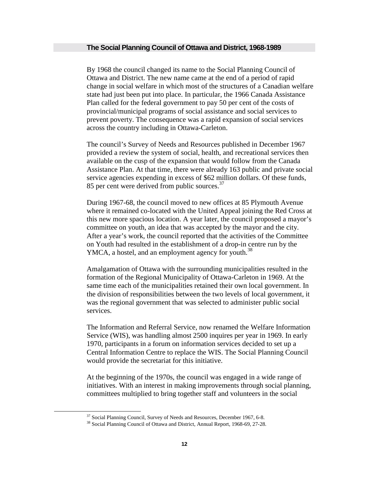#### **The Social Planning Council of Ottawa and District, 1968-1989**

By 1968 the council changed its name to the Social Planning Council of Ottawa and District. The new name came at the end of a period of rapid change in social welfare in which most of the structures of a Canadian welfare state had just been put into place. In particular, the 1966 Canada Assistance Plan called for the federal government to pay 50 per cent of the costs of provincial/municipal programs of social assistance and social services to prevent poverty. The consequence was a rapid expansion of social services across the country including in Ottawa-Carleton.

The council's Survey of Needs and Resources published in December 1967 provided a review the system of social, health, and recreational services then available on the cusp of the expansion that would follow from the Canada Assistance Plan. At that time, there were already 163 public and private social service agencies expending in excess of \$62 million dollars. Of these funds, 85 per cent were derived from public sources.<sup>37</sup>

During 1967-68, the council moved to new offices at 85 Plymouth Avenue where it remained co-located with the United Appeal joining the Red Cross at this new more spacious location. A year later, the council proposed a mayor's committee on youth, an idea that was accepted by the mayor and the city. After a year's work, the council reported that the activities of the Committee on Youth had resulted in the establishment of a drop-in centre run by the YMCA, a hostel, and an employment agency for youth.<sup>38</sup>

Amalgamation of Ottawa with the surrounding municipalities resulted in the formation of the Regional Municipality of Ottawa-Carleton in 1969. At the same time each of the municipalities retained their own local government. In the division of responsibilities between the two levels of local government, it was the regional government that was selected to administer public social services.

The Information and Referral Service, now renamed the Welfare Information Service (WIS), was handling almost 2500 inquires per year in 1969. In early 1970, participants in a forum on information services decided to set up a Central Information Centre to replace the WIS. The Social Planning Council would provide the secretariat for this initiative.

At the beginning of the 1970s, the council was engaged in a wide range of initiatives. With an interest in making improvements through social planning, committees multiplied to bring together staff and volunteers in the social

<sup>&</sup>lt;sup>37</sup> Social Planning Council, Survey of Needs and Resources, December 1967, 6-8.

<sup>38</sup> Social Planning Council of Ottawa and District, Annual Report, 1968-69, 27-28.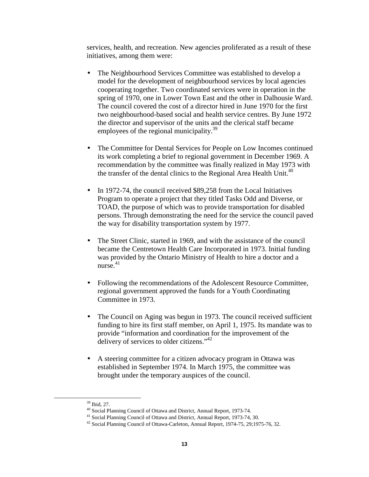services, health, and recreation. New agencies proliferated as a result of these initiatives, among them were:

- The Neighbourhood Services Committee was established to develop a model for the development of neighbourhood services by local agencies cooperating together. Two coordinated services were in operation in the spring of 1970, one in Lower Town East and the other in Dalhousie Ward. The council covered the cost of a director hired in June 1970 for the first two neighbourhood-based social and health service centres. By June 1972 the director and supervisor of the units and the clerical staff became employees of the regional municipality.<sup>39</sup>
- The Committee for Dental Services for People on Low Incomes continued its work completing a brief to regional government in December 1969. A recommendation by the committee was finally realized in May 1973 with the transfer of the dental clinics to the Regional Area Health Unit.<sup>40</sup>
- In 1972-74, the council received \$89,258 from the Local Initiatives Program to operate a project that they titled Tasks Odd and Diverse, or TOAD, the purpose of which was to provide transportation for disabled persons. Through demonstrating the need for the service the council paved the way for disability transportation system by 1977.
- The Street Clinic, started in 1969, and with the assistance of the council became the Centretown Health Care Incorporated in 1973. Initial funding was provided by the Ontario Ministry of Health to hire a doctor and a  $n$ urse. $41$
- Following the recommendations of the Adolescent Resource Committee, regional government approved the funds for a Youth Coordinating Committee in 1973.
- The Council on Aging was begun in 1973. The council received sufficient funding to hire its first staff member, on April 1, 1975. Its mandate was to provide "information and coordination for the improvement of the delivery of services to older citizens."<sup>42</sup>
- A steering committee for a citizen advocacy program in Ottawa was established in September 1974. In March 1975, the committee was brought under the temporary auspices of the council.

 <sup>39</sup> Ibid, 27.

<sup>40</sup> Social Planning Council of Ottawa and District, Annual Report, 1973-74.

<sup>41</sup> Social Planning Council of Ottawa and District, Annual Report, 1973-74, 30.

<sup>42</sup> Social Planning Council of Ottawa-Carleton, Annual Report, 1974-75, 29;1975-76, 32.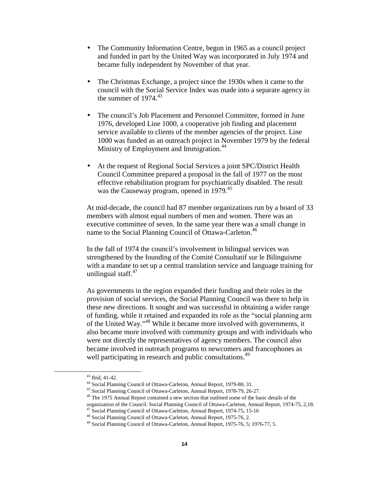- The Community Information Centre, begun in 1965 as a council project and funded in part by the United Way was incorporated in July 1974 and became fully independent by November of that year.
- The Christmas Exchange, a project since the 1930s when it came to the council with the Social Service Index was made into a separate agency in the summer of  $1974.<sup>43</sup>$
- The council's Job Placement and Personnel Committee, formed in June 1976, developed Line 1000, a cooperative job finding and placement service available to clients of the member agencies of the project. Line 1000 was funded as an outreach project in November 1979 by the federal Ministry of Employment and Immigration.<sup>44</sup>
- At the request of Regional Social Services a joint SPC/District Health Council Committee prepared a proposal in the fall of 1977 on the most effective rehabilitation program for psychiatrically disabled. The result was the Causeway program, opened in 1979.<sup>45</sup>

At mid-decade, the council had 87 member organizations run by a board of 33 members with almost equal numbers of men and women. There was an executive committee of seven. In the same year there was a small change in name to the Social Planning Council of Ottawa-Carleton.<sup>46</sup>

In the fall of 1974 the council's involvement in bilingual services was strengthened by the founding of the Comité Consultatif sur le Bilinguisme with a mandate to set up a central translation service and language training for unilingual staff.<sup>47</sup>

As governments in the region expanded their funding and their roles in the provision of social services, the Social Planning Council was there to help in these new directions. It sought and was successful in obtaining a wider range of funding, while it retained and expanded its role as the "social planning arm of the United Way."48 While it became more involved with governments, it also became more involved with community groups and with individuals who were not directly the representatives of agency members. The council also became involved in outreach programs to newcomers and francophones as well participating in research and public consultations.<sup>49</sup>

 <sup>43</sup> Ibid, 41-42.

<sup>44</sup> Social Planning Council of Ottawa-Carleton, Annual Report, 1979-80, 31.

<sup>45</sup> Social Planning Council of Ottawa-Carleton, Annual Report, 1978-79, 26-27.

<sup>46</sup> The 1975 Annual Report contained a new section that outlined some of the basic details of the organization of the Council. Social Planning Council of Ottawa-Carleton, Annual Report, 1974-75, 2,18.

<sup>&</sup>lt;sup>47</sup> Social Planning Council of Ottawa-Carleton, Annual Report, 1974-75, 15-16

<sup>48</sup> Social Planning Council of Ottawa-Carleton, Annual Report, 1975-76, 2.

<sup>49</sup> Social Planning Council of Ottawa-Carleton, Annual Report, 1975-76, 5; 1976-77, 5.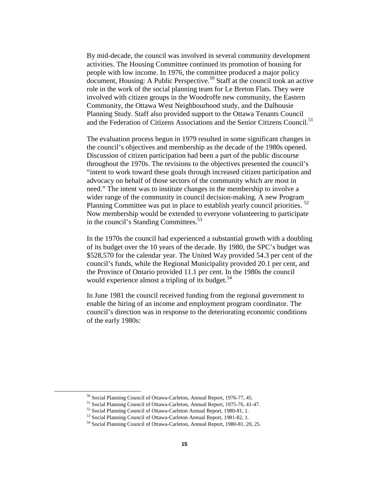By mid-decade, the council was involved in several community development activities. The Housing Committee continued its promotion of housing for people with low income. In 1976, the committee produced a major policy document, Housing: A Public Perspective.<sup>50</sup> Staff at the council took an active role in the work of the social planning team for Le Breton Flats. They were involved with citizen groups in the Woodroffe new community, the Eastern Community, the Ottawa West Neighbourhood study, and the Dalhousie Planning Study. Staff also provided support to the Ottawa Tenants Council and the Federation of Citizens Associations and the Senior Citizens Council.<sup>51</sup>

The evaluation process begun in 1979 resulted in some significant changes in the council's objectives and membership as the decade of the 1980s opened. Discussion of citizen participation had been a part of the public discourse throughout the 1970s. The revisions to the objectives presented the council's "intent to work toward these goals through increased citizen participation and advocacy on behalf of those sectors of the community which are most in need." The intent was to institute changes in the membership to involve a wider range of the community in council decision-making. A new Program Planning Committee was put in place to establish yearly council priorities. <sup>52</sup> Now membership would be extended to everyone volunteering to participate in the council's Standing Committees.<sup>53</sup>

In the 1970s the council had experienced a substantial growth with a doubling of its budget over the 10 years of the decade. By 1980, the SPC's budget was \$528,570 for the calendar year. The United Way provided 54.3 per cent of the council's funds, while the Regional Municipality provided 20.1 per cent, and the Province of Ontario provided 11.1 per cent. In the 1980s the council would experience almost a tripling of its budget.<sup>54</sup>

In June 1981 the council received funding from the regional government to enable the hiring of an income and employment program coordinator. The council's direction was in response to the deteriorating economic conditions of the early 1980s:

 <sup>50</sup> Social Planning Council of Ottawa-Carleton, Annual Report, 1976-77, 45.

<sup>51</sup> Social Planning Council of Ottawa-Carleton, Annual Report, 1975-76, 41-47.

<sup>52</sup> Social Planning Council of Ottawa-Carleton Annual Report, 1980-81, 1.

<sup>53</sup> Social Planning Council of Ottawa-Carleton Annual Report, 1981-82, 1.

<sup>54</sup> Social Planning Council of Ottawa-Carleton, Annual Report, 1980-81, 20, 25.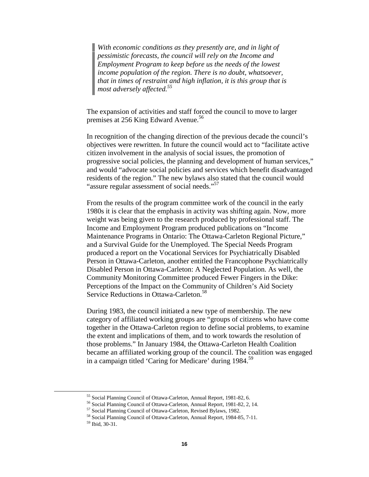*With economic conditions as they presently are, and in light of pessimistic forecasts, the council will rely on the Income and Employment Program to keep before us the needs of the lowest income population of the region. There is no doubt, whatsoever, that in times of restraint and high inflation, it is this group that is most adversely affected.<sup>55</sup>*

The expansion of activities and staff forced the council to move to larger premises at 256 King Edward Avenue.<sup>56</sup>

In recognition of the changing direction of the previous decade the council's objectives were rewritten. In future the council would act to "facilitate active citizen involvement in the analysis of social issues, the promotion of progressive social policies, the planning and development of human services," and would "advocate social policies and services which benefit disadvantaged residents of the region." The new bylaws also stated that the council would "assure regular assessment of social needs."<sup>57</sup>

From the results of the program committee work of the council in the early 1980s it is clear that the emphasis in activity was shifting again. Now, more weight was being given to the research produced by professional staff. The Income and Employment Program produced publications on "Income Maintenance Programs in Ontario: The Ottawa-Carleton Regional Picture," and a Survival Guide for the Unemployed. The Special Needs Program produced a report on the Vocational Services for Psychiatrically Disabled Person in Ottawa-Carleton, another entitled the Francophone Psychiatrically Disabled Person in Ottawa-Carleton: A Neglected Population. As well, the Community Monitoring Committee produced Fewer Fingers in the Dike: Perceptions of the Impact on the Community of Children's Aid Society Service Reductions in Ottawa-Carleton.<sup>58</sup>

During 1983, the council initiated a new type of membership. The new category of affiliated working groups are "groups of citizens who have come together in the Ottawa-Carleton region to define social problems, to examine the extent and implications of them, and to work towards the resolution of those problems." In January 1984, the Ottawa-Carleton Health Coalition became an affiliated working group of the council. The coalition was engaged in a campaign titled 'Caring for Medicare' during 1984.<sup>59</sup>

 <sup>55</sup> Social Planning Council of Ottawa-Carleton, Annual Report, 1981-82, 6.

<sup>56</sup> Social Planning Council of Ottawa-Carleton, Annual Report, 1981-82, 2, 14.

<sup>57</sup> Social Planning Council of Ottawa-Carleton, Revised Bylaws, 1982.

<sup>58</sup> Social Planning Council of Ottawa-Carleton, Annual Report, 1984-85, 7-11.

<sup>59</sup> Ibid, 30-31.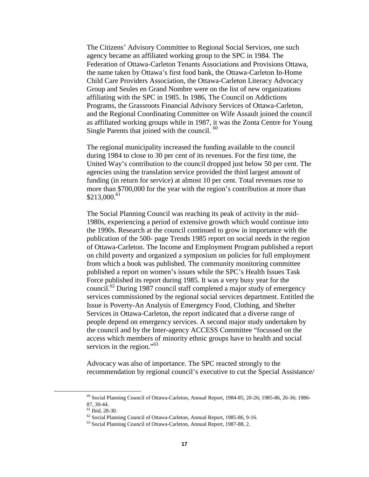The Citizens' Advisory Committee to Regional Social Services, one such agency became an affiliated working group to the SPC in 1984. The Federation of Ottawa-Carleton Tenants Associations and Provisions Ottawa, the name taken by Ottawa's first food bank, the Ottawa-Carleton In-Home Child Care Providers Association, the Ottawa-Carleton Literacy Advocacy Group and Seules en Grand Nombre were on the list of new organizations affiliating with the SPC in 1985. In 1986, The Council on Addictions Programs, the Grassroots Financial Advisory Services of Ottawa-Carleton, and the Regional Coordinating Committee on Wife Assault joined the council as affiliated working groups while in 1987, it was the Zonta Centre for Young Single Parents that joined with the council. <sup>60</sup>

The regional municipality increased the funding available to the council during 1984 to close to 30 per cent of its revenues. For the first time, the United Way's contribution to the council dropped just below 50 per cent. The agencies using the translation service provided the third largest amount of funding (in return for service) at almost 10 per cent. Total revenues rose to more than \$700,000 for the year with the region's contribution at more than  $$213,000.<sup>61</sup>$ 

The Social Planning Council was reaching its peak of activity in the mid-1980s, experiencing a period of extensive growth which would continue into the 1990s. Research at the council continued to grow in importance with the publication of the 500- page Trends 1985 report on social needs in the region of Ottawa-Carleton. The Income and Employment Program published a report on child poverty and organized a symposium on policies for full employment from which a book was published. The community monitoring committee published a report on women's issues while the SPC's Health Issues Task Force published its report during 1985. It was a very busy year for the council.62 During 1987 council staff completed a major study of emergency services commissioned by the regional social services department. Entitled the Issue is Poverty-An Analysis of Emergency Food, Clothing, and Shelter Services in Ottawa-Carleton, the report indicated that a diverse range of people depend on emergency services. A second major study undertaken by the council and by the Inter-agency ACCESS Committee "focussed on the access which members of minority ethnic groups have to health and social services in the region."<sup>63</sup>

Advocacy was also of importance. The SPC reacted strongly to the recommendation by regional council's executive to cut the Special Assistance/

 <sup>60</sup> Social Planning Council of Ottawa-Carleton, Annual Report, 1984-85, 20-26; 1985-86, 26-36; 1986- 87, 30-44.

<sup>61</sup> Ibid, 28-30.

<sup>62</sup> Social Planning Council of Ottawa-Carleton, Annual Report, 1985-86, 9-16.

<sup>63</sup> Social Planning Council of Ottawa-Carleton, Annual Report, 1987-88, 2.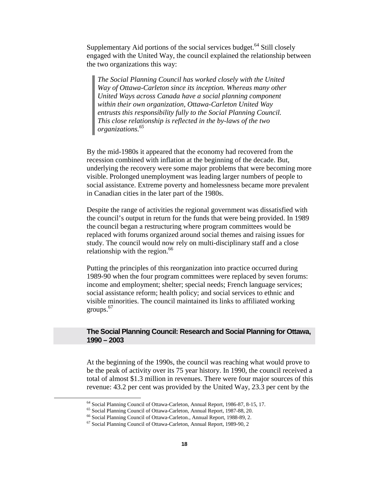Supplementary Aid portions of the social services budget.<sup>64</sup> Still closely engaged with the United Way, the council explained the relationship between the two organizations this way:

*The Social Planning Council has worked closely with the United Way of Ottawa-Carleton since its inception. Whereas many other United Ways across Canada have a social planning component within their own organization, Ottawa-Carleton United Way entrusts this responsibility fully to the Social Planning Council. This close relationship is reflected in the by-laws of the two organizations.65*

By the mid-1980s it appeared that the economy had recovered from the recession combined with inflation at the beginning of the decade. But, underlying the recovery were some major problems that were becoming more visible. Prolonged unemployment was leading larger numbers of people to social assistance. Extreme poverty and homelessness became more prevalent in Canadian cities in the later part of the 1980s.

Despite the range of activities the regional government was dissatisfied with the council's output in return for the funds that were being provided. In 1989 the council began a restructuring where program committees would be replaced with forums organized around social themes and raising issues for study. The council would now rely on multi-disciplinary staff and a close relationship with the region.<sup>66</sup>

Putting the principles of this reorganization into practice occurred during 1989-90 when the four program committees were replaced by seven forums: income and employment; shelter; special needs; French language services; social assistance reform; health policy; and social services to ethnic and visible minorities. The council maintained its links to affiliated working groups.<sup>67</sup>

# **The Social Planning Council: Research and Social Planning for Ottawa, 1990 – 2003**

At the beginning of the 1990s, the council was reaching what would prove to be the peak of activity over its 75 year history. In 1990, the council received a total of almost \$1.3 million in revenues. There were four major sources of this revenue: 43.2 per cent was provided by the United Way, 23.3 per cent by the

 <sup>64</sup> Social Planning Council of Ottawa-Carleton, Annual Report, 1986-87, 8-15, 17.

<sup>65</sup> Social Planning Council of Ottawa-Carleton, Annual Report, 1987-88, 20.

<sup>66</sup> Social Planning Council of Ottawa-Carleton., Annual Report, 1988-89, 2.

<sup>67</sup> Social Planning Council of Ottawa-Carleton, Annual Report, 1989-90, 2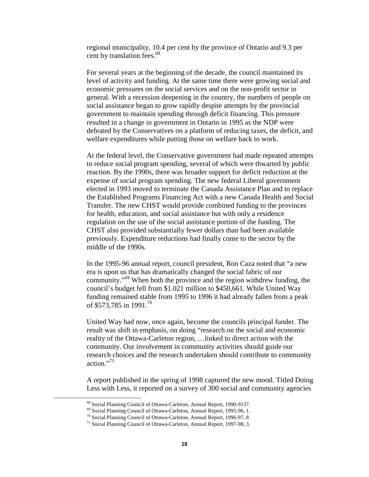regional municipality, 10.4 per cent by the province of Ontario and 9.3 per cent by translation fees.<sup>68</sup>

For several years at the beginning of the decade, the council maintained its level of activity and funding. At the same time there were growing social and economic pressures on the social services and on the non-profit sector in general. With a recession deepening in the country, the numbers of people on social assistance began to grow rapidly despite attempts by the provincial government to maintain spending through deficit financing. This pressure resulted in a change in government in Ontario in 1995 as the NDP were defeated by the Conservatives on a platform of reducing taxes, the deficit, and welfare expenditures while putting those on welfare back to work.

At the federal level, the Conservative government had made repeated attempts to reduce social program spending, several of which were thwarted by public reaction. By the 1990s, there was broader support for deficit reduction at the expense of social program spending. The new federal Liberal government elected in 1993 moved to terminate the Canada Assistance Plan and to replace the Established Programs Financing Act with a new Canada Health and Social Transfer. The new CHST would provide combined funding to the provinces for health, education, and social assistance but with only a residence regulation on the use of the social assistance portion of the funding. The CHST also provided substantially fewer dollars than had been available previously. Expenditure reductions had finally come to the sector by the middle of the 1990s.

In the 1995-96 annual report, council president, Ron Caza noted that "a new era is upon us that has dramatically changed the social fabric of our community."69 When both the province and the region withdrew funding, the council's budget fell from \$1.021 million to \$450,661. While United Way funding remained stable from 1995 to 1996 it had already fallen from a peak of \$573,785 in 1991.<sup>70</sup>

United Way had now, once again, become the councils principal funder. The result was shift in emphasis, on doing "research on the social and economic reality of the Ottawa-Carleton region, …linked to direct action with the community. Our involvement in community activities should guide our research choices and the research undertaken should contribute to community action."71

A report published in the spring of 1998 captured the new mood. Titled Doing Less with Less, it reported on a survey of 300 social and community agencies

 <sup>68</sup> Social Planning Council of Ottawa-Carleton, Annual Report, 1990-9137.

<sup>69</sup> Social Planning Council of Ottawa-Carleton, Annual Report, 1995-96, 1.

<sup>70</sup> Social Planning Council of Ottawa-Carleton, Annual Report, 1996-97, 8

<sup>71</sup> Social Planning Council of Ottawa-Carleton, Annual Report, 1997-98, 3.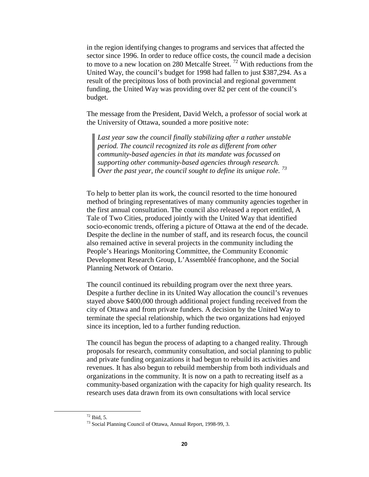in the region identifying changes to programs and services that affected the sector since 1996. In order to reduce office costs, the council made a decision to move to a new location on 280 Metcalfe Street.<sup>72</sup> With reductions from the United Way, the council's budget for 1998 had fallen to just \$387,294. As a result of the precipitous loss of both provincial and regional government funding, the United Way was providing over 82 per cent of the council's budget.

The message from the President, David Welch, a professor of social work at the University of Ottawa, sounded a more positive note:

*Last year saw the council finally stabilizing after a rather unstable period. The council recognized its role as different from other community-based agencies in that its mandate was focussed on supporting other community-based agencies through research. Over the past year, the council sought to define its unique role.*<sup>73</sup>

To help to better plan its work, the council resorted to the time honoured method of bringing representatives of many community agencies together in the first annual consultation. The council also released a report entitled, A Tale of Two Cities, produced jointly with the United Way that identified socio-economic trends, offering a picture of Ottawa at the end of the decade. Despite the decline in the number of staff, and its research focus, the council also remained active in several projects in the community including the People's Hearings Monitoring Committee, the Community Economic Development Research Group, L'Assembléé francophone, and the Social Planning Network of Ontario.

The council continued its rebuilding program over the next three years. Despite a further decline in its United Way allocation the council's revenues stayed above \$400,000 through additional project funding received from the city of Ottawa and from private funders. A decision by the United Way to terminate the special relationship, which the two organizations had enjoyed since its inception, led to a further funding reduction.

The council has begun the process of adapting to a changed reality. Through proposals for research, community consultation, and social planning to public and private funding organizations it had begun to rebuild its activities and revenues. It has also begun to rebuild membership from both individuals and organizations in the community. It is now on a path to recreating itself as a community-based organization with the capacity for high quality research. Its research uses data drawn from its own consultations with local service

 $72$  Ibid, 5.

<sup>73</sup> Social Planning Council of Ottawa, Annual Report, 1998-99, 3.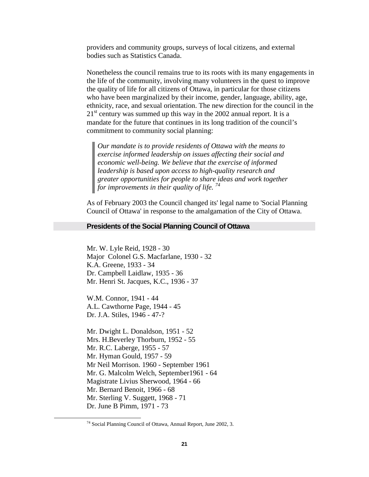providers and community groups, surveys of local citizens, and external bodies such as Statistics Canada.

Nonetheless the council remains true to its roots with its many engagements in the life of the community, involving many volunteers in the quest to improve the quality of life for all citizens of Ottawa, in particular for those citizens who have been marginalized by their income, gender, language, ability, age, ethnicity, race, and sexual orientation. The new direction for the council in the  $21<sup>st</sup>$  century was summed up this way in the 2002 annual report. It is a mandate for the future that continues in its long tradition of the council's commitment to community social planning:

*Our mandate is to provide residents of Ottawa with the means to exercise informed leadership on issues affecting their social and economic well-being. We believe that the exercise of informed leadership is based upon access to high-quality research and greater opportunities for people to share ideas and work together for improvements in their quality of life. <sup>74</sup>*

As of February 2003 the Council changed its' legal name to 'Social Planning Council of Ottawa' in response to the amalgamation of the City of Ottawa.

### **Presidents of the Social Planning Council of Ottawa**

Mr. W. Lyle Reid, 1928 - 30 Major Colonel G.S. Macfarlane, 1930 - 32 K.A. Greene, 1933 - 34 Dr. Campbell Laidlaw, 1935 - 36 Mr. Henri St. Jacques, K.C., 1936 - 37

W.M. Connor, 1941 - 44 A.L. Cawthorne Page, 1944 - 45 Dr. J.A. Stiles, 1946 - 47-?

Mr. Dwight L. Donaldson, 1951 - 52 Mrs. H.Beverley Thorburn, 1952 - 55 Mr. R.C. Laberge, 1955 - 57 Mr. Hyman Gould, 1957 - 59 Mr Neil Morrison. 1960 - September 1961 Mr. G. Malcolm Welch, September1961 - 64 Magistrate Livius Sherwood, 1964 - 66 Mr. Bernard Benoit, 1966 - 68 Mr. Sterling V. Suggett, 1968 - 71 Dr. June B Pimm, 1971 - 73

 <sup>74</sup> Social Planning Council of Ottawa, Annual Report, June 2002, 3.